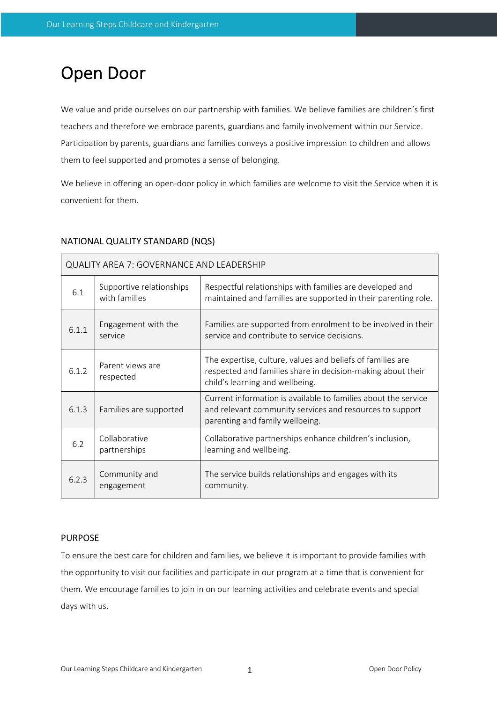# Open Door

We value and pride ourselves on our partnership with families. We believe families are children's first teachers and therefore we embrace parents, guardians and family involvement within our Service. Participation by parents, guardians and families conveys a positive impression to children and allows them to feel supported and promotes a sense of belonging.

We believe in offering an open-door policy in which families are welcome to visit the Service when it is convenient for them.

## NATIONAL QUALITY STANDARD (NQS)

| QUALITY AREA 7: GOVERNANCE AND LEADERSHIP |                                           |                                                                                                                                                               |  |  |  |  |
|-------------------------------------------|-------------------------------------------|---------------------------------------------------------------------------------------------------------------------------------------------------------------|--|--|--|--|
| 6.1                                       | Supportive relationships<br>with families | Respectful relationships with families are developed and<br>maintained and families are supported in their parenting role.                                    |  |  |  |  |
| 6.1.1                                     | Engagement with the<br>service            | Families are supported from enrolment to be involved in their<br>service and contribute to service decisions.                                                 |  |  |  |  |
| 6.1.2                                     | Parent views are<br>respected             | The expertise, culture, values and beliefs of families are<br>respected and families share in decision-making about their<br>child's learning and wellbeing.  |  |  |  |  |
| 6.1.3                                     | Families are supported                    | Current information is available to families about the service<br>and relevant community services and resources to support<br>parenting and family wellbeing. |  |  |  |  |
| 6.2                                       | Collaborative<br>partnerships             | Collaborative partnerships enhance children's inclusion,<br>learning and wellbeing.                                                                           |  |  |  |  |
| 6.2.3                                     | Community and<br>engagement               | The service builds relationships and engages with its<br>community.                                                                                           |  |  |  |  |

#### PURPOSE

To ensure the best care for children and families, we believe it is important to provide families with the opportunity to visit our facilities and participate in our program at a time that is convenient for them. We encourage families to join in on our learning activities and celebrate events and special days with us.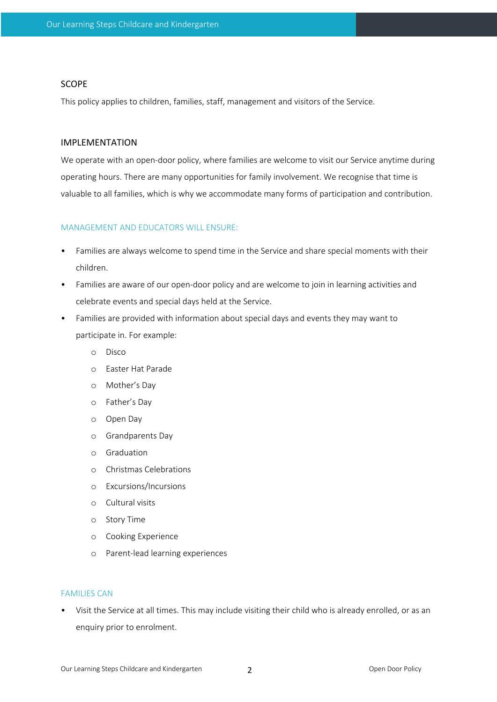#### SCOPE

This policy applies to children, families, staff, management and visitors of the Service.

### IMPLEMENTATION

We operate with an open-door policy, where families are welcome to visit our Service anytime during operating hours. There are many opportunities for family involvement. We recognise that time is valuable to all families, which is why we accommodate many forms of participation and contribution.

## MANAGEMENT AND EDUCATORS WILL ENSURE:

- Families are always welcome to spend time in the Service and share special moments with their children.
- Families are aware of our open-door policy and are welcome to join in learning activities and celebrate events and special days held at the Service.
- Families are provided with information about special days and events they may want to participate in. For example:
	- o Disco
	- o Easter Hat Parade
	- o Mother's Day
	- o Father's Day
	- o Open Day
	- o Grandparents Day
	- o Graduation
	- o Christmas Celebrations
	- o Excursions/Incursions
	- o Cultural visits
	- o Story Time
	- o Cooking Experience
	- o Parent-lead learning experiences

#### FAMILIES CAN

• Visit the Service at all times. This may include visiting their child who is already enrolled, or as an enquiry prior to enrolment.